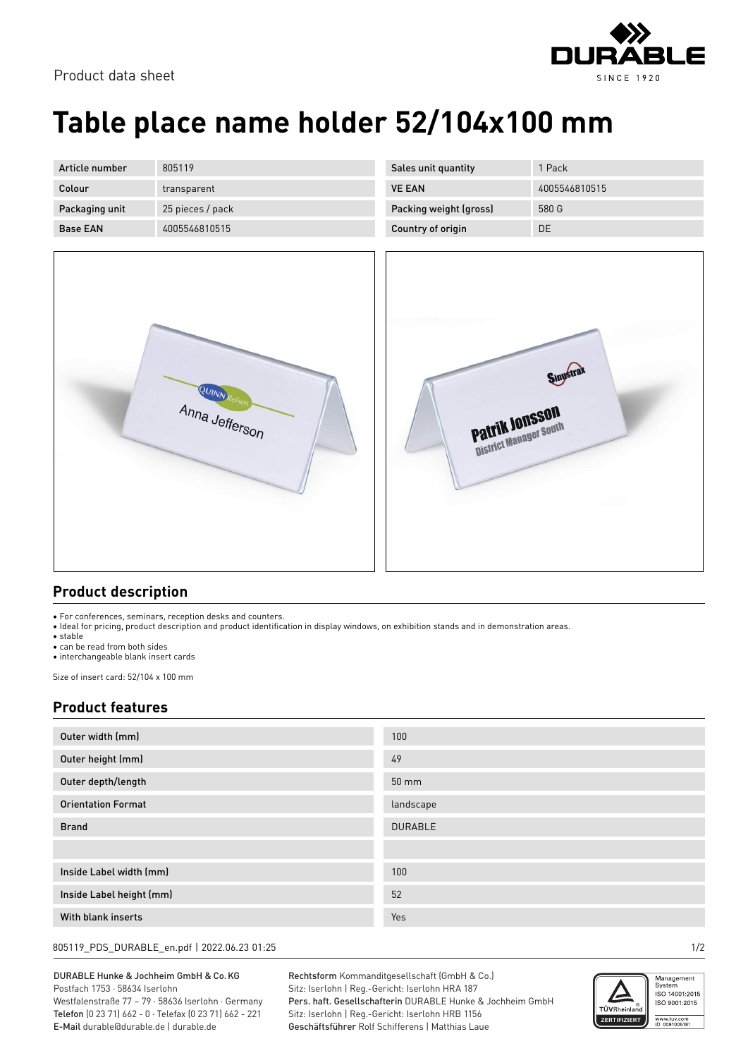



## **Table place name holder 52/104x100 mm**

| Article number  | 805119           |
|-----------------|------------------|
| Colour          | transparent      |
| Packaging unit  | 25 pieces / pack |
| <b>Base FAN</b> | 4005546810515    |

| 1 Pack        |
|---------------|
| 4005546810515 |
| 580 G         |
| DE            |
|               |



| Sinustrak<br>Patrik Jonsson<br>District Manager South |  |
|-------------------------------------------------------|--|
|                                                       |  |

## **Product description**

• For conferences, seminars, reception desks and counters.

• Ideal for pricing, product description and product identification in display windows, on exhibition stands and in demonstration areas.

• stable

• can be read from both sides

• interchangeable blank insert cards

Size of insert card: 52/104 x 100 mm

## **Product features**

| Outer width (mm)          | 100               |
|---------------------------|-------------------|
| Outer height (mm)         | 49                |
| Outer depth/length        | $50 \, \text{mm}$ |
| <b>Orientation Format</b> | landscape         |
| <b>Brand</b>              | <b>DURABLE</b>    |
|                           |                   |
| Inside Label width (mm)   | 100               |
| Inside Label height (mm)  | 52                |
| With blank inserts        | Yes               |

805119\_PDS\_DURABLE\_en.pdf | 2022.06.23 01:25 1/2

DURABLE Hunke & Jochheim GmbH & Co.KG Postfach 1753 · 58634 Iserlohn Westfalenstraße 77 – 79 · 58636 Iserlohn · Germany

Telefon (0 23 71) 662 - 0 · Telefax (0 23 71) 662 - 221 E-Mail durable@durable.de | durable.de

Rechtsform Kommanditgesellschaft (GmbH & Co.) Sitz: Iserlohn | Reg.-Gericht: Iserlohn HRA 187 Pers. haft. Gesellschafterin DURABLE Hunke & Jochheim GmbH Sitz: Iserlohn | Reg.-Gericht: Iserlohn HRB 1156 Geschäftsführer Rolf Schifferens | Matthias Laue